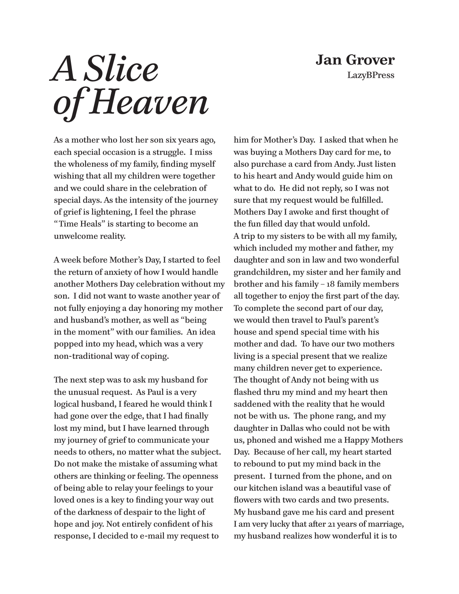## **Jan Grover LazyBPress**

## *A Slice of Heaven*

As a mother who lost her son six years ago, each special occasion is a struggle. I miss the wholeness of my family, finding myself wishing that all my children were together and we could share in the celebration of special days. As the intensity of the journey of grief is lightening, I feel the phrase " Time Heals" is starting to become an unwelcome reality.

A week before Mother's Day, I started to feel the return of anxiety of how I would handle another Mothers Day celebration without my son. I did not want to waste another year of not fully enjoying a day honoring my mother and husband's mother, as well as "being in the moment" with our families. An idea popped into my head, which was a very non-traditional way of coping.

The next step was to ask my husband for the unusual request. As Paul is a very logical husband, I feared he would think I had gone over the edge, that I had finally lost my mind, but I have learned through my journey of grief to communicate your needs to others, no matter what the subject. Do not make the mistake of assuming what others are thinking or feeling. The openness of being able to relay your feelings to your loved ones is a key to finding your way out of the darkness of despair to the light of hope and joy. Not entirely confident of his response, I decided to e-mail my request to

him for Mother's Day. I asked that when he was buying a Mothers Day card for me, to also purchase a card from Andy. Just listen to his heart and Andy would guide him on what to do. He did not reply, so I was not sure that my request would be fulfilled. Mothers Day I awoke and first thought of the fun filled day that would unfold. A trip to my sisters to be with all my family, which included my mother and father, my daughter and son in law and two wonderful grandchildren, my sister and her family and brother and his family – 18 family members all together to enjoy the first part of the day. To complete the second part of our day, we would then travel to Paul's parent's house and spend special time with his mother and dad. To have our two mothers living is a special present that we realize many children never get to experience. The thought of Andy not being with us flashed thru my mind and my heart then saddened with the reality that he would not be with us. The phone rang, and my daughter in Dallas who could not be with us, phoned and wished me a Happy Mothers Day. Because of her call, my heart started to rebound to put my mind back in the present. I turned from the phone, and on our kitchen island was a beautiful vase of flowers with two cards and two presents. My husband gave me his card and present I am very lucky that after 21 years of marriage, my husband realizes how wonderful it is to